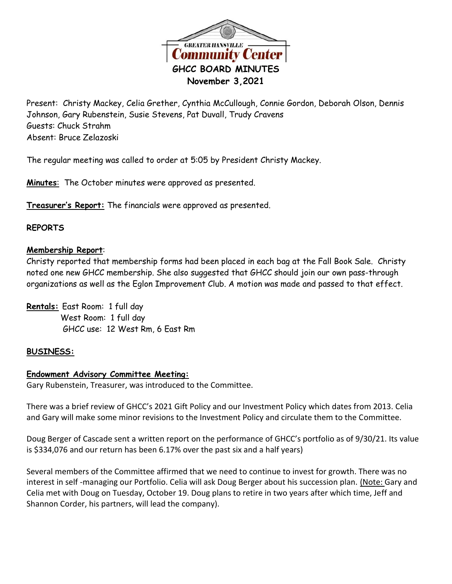

Present: Christy Mackey, Celia Grether, Cynthia McCullough, Connie Gordon, Deborah Olson, Dennis Johnson, Gary Rubenstein, Susie Stevens, Pat Duvall, Trudy Cravens Guests: Chuck Strahm Absent: Bruce Zelazoski

The regular meeting was called to order at 5:05 by President Christy Mackey.

**Minutes**: The October minutes were approved as presented.

**Treasurer's Report:** The financials were approved as presented.

### **REPORTS**

### **Membership Report**:

Christy reported that membership forms had been placed in each bag at the Fall Book Sale. Christy noted one new GHCC membership. She also suggested that GHCC should join our own pass-through organizations as well as the Eglon Improvement Club. A motion was made and passed to that effect.

**Rentals:** East Room: 1 full day West Room: 1 full day GHCC use: 12 West Rm, 6 East Rm

### **BUSINESS:**

### **Endowment Advisory Committee Meeting:**

Gary Rubenstein, Treasurer, was introduced to the Committee.

There was a brief review of GHCC's 2021 Gift Policy and our Investment Policy which dates from 2013. Celia and Gary will make some minor revisions to the Investment Policy and circulate them to the Committee.

Doug Berger of Cascade sent a written report on the performance of GHCC's portfolio as of 9/30/21. Its value is \$334,076 and our return has been 6.17% over the past six and a half years)

Several members of the Committee affirmed that we need to continue to invest for growth. There was no interest in self-managing our Portfolio. Celia will ask Doug Berger about his succession plan. (Note: Gary and Celia met with Doug on Tuesday, October 19. Doug plans to retire in two years after which time, Jeff and Shannon Corder, his partners, will lead the company).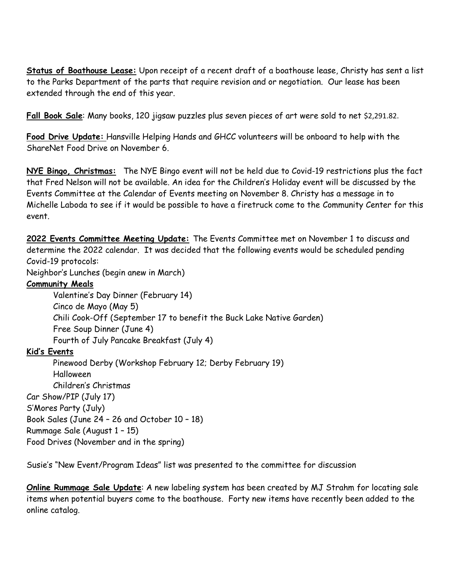**Status of Boathouse Lease:** Upon receipt of a recent draft of a boathouse lease, Christy has sent a list to the Parks Department of the parts that require revision and or negotiation. Our lease has been extended through the end of this year.

**Fall Book Sale**: Many books, 120 jigsaw puzzles plus seven pieces of art were sold to net \$2,291.82.

**Food Drive Update:** Hansville Helping Hands and GHCC volunteers will be onboard to help with the ShareNet Food Drive on November 6.

**NYE Bingo, Christmas:** The NYE Bingo event will not be held due to Covid-19 restrictions plus the fact that Fred Nelson will not be available. An idea for the Children's Holiday event will be discussed by the Events Committee at the Calendar of Events meeting on November 8. Christy has a message in to Michelle Laboda to see if it would be possible to have a firetruck come to the Community Center for this event.

**2022 Events Committee Meeting Update:** The Events Committee met on November 1 to discuss and determine the 2022 calendar. It was decided that the following events would be scheduled pending Covid-19 protocols:

Neighbor's Lunches (begin anew in March)

# **Community Meals**

Valentine's Day Dinner (February 14) Cinco de Mayo (May 5) Chili Cook-Off (September 17 to benefit the Buck Lake Native Garden) Free Soup Dinner (June 4) Fourth of July Pancake Breakfast (July 4)

# **Kid's Events**

Pinewood Derby (Workshop February 12; Derby February 19) Halloween Children's Christmas Car Show/PIP (July 17) S'Mores Party (July) Book Sales (June 24 – 26 and October 10 – 18) Rummage Sale (August 1 – 15) Food Drives (November and in the spring)

Susie's "New Event/Program Ideas" list was presented to the committee for discussion

**Online Rummage Sale Update**: A new labeling system has been created by MJ Strahm for locating sale items when potential buyers come to the boathouse. Forty new items have recently been added to the online catalog.